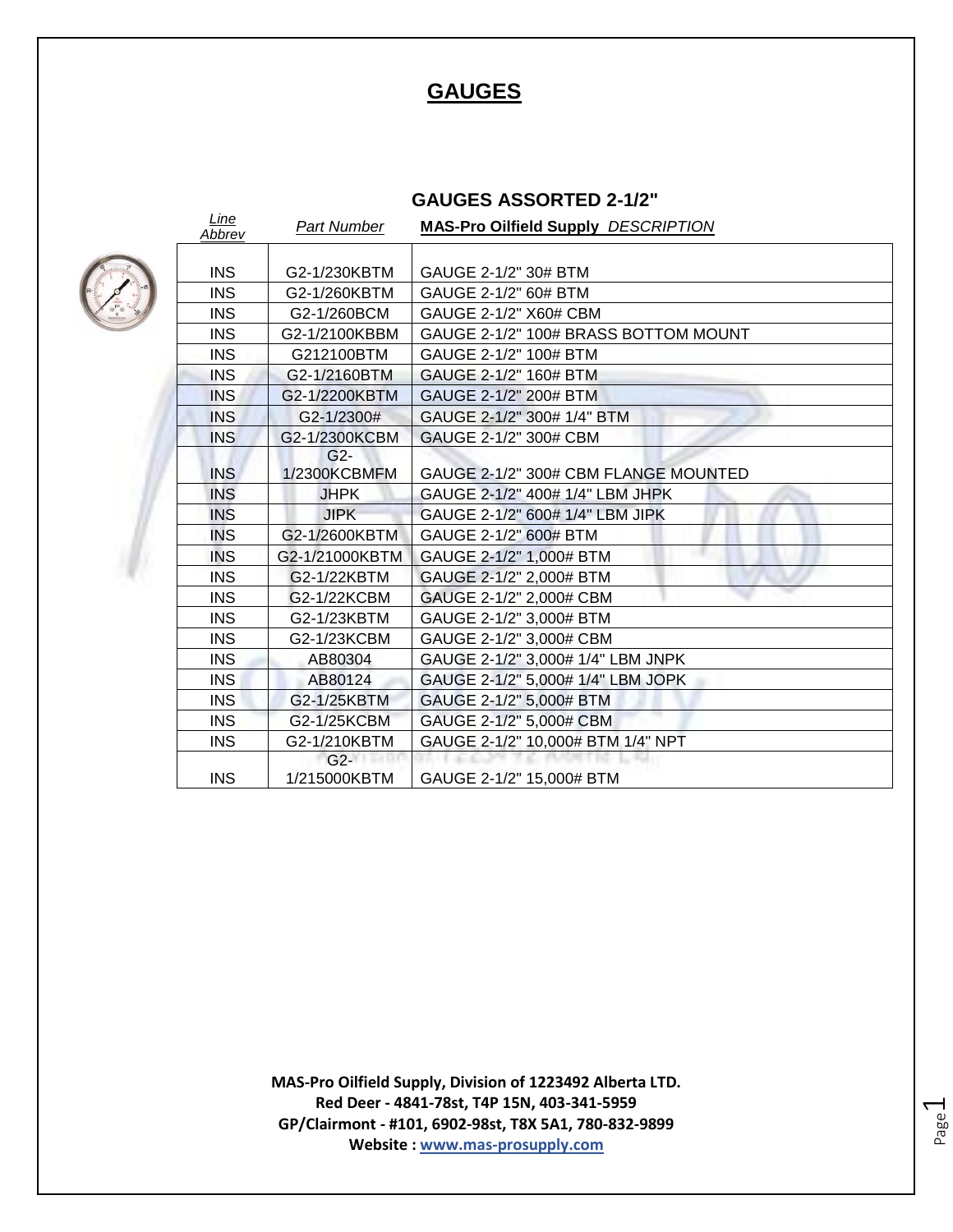# **GAUGES**

## **GAUGES ASSORTED 2-1/2"**



| Line<br>Abbrev | Part Number    | <b>MAS-Pro Oilfield Supply DESCRIPTION</b> |
|----------------|----------------|--------------------------------------------|
|                |                |                                            |
| <b>INS</b>     | G2-1/230KBTM   | GAUGE 2-1/2" 30# BTM                       |
| <b>INS</b>     | G2-1/260KBTM   | GAUGE 2-1/2" 60# BTM                       |
| <b>INS</b>     | G2-1/260BCM    | GAUGE 2-1/2" X60# CBM                      |
| <b>INS</b>     | G2-1/2100KBBM  | GAUGE 2-1/2" 100# BRASS BOTTOM MOUNT       |
| <b>INS</b>     | G212100BTM     | GAUGE 2-1/2" 100# BTM                      |
| <b>INS</b>     | G2-1/2160BTM   | GAUGE 2-1/2" 160# BTM                      |
| <b>INS</b>     | G2-1/2200KBTM  | GAUGE 2-1/2" 200# BTM                      |
| <b>INS</b>     | G2-1/2300#     | GAUGE 2-1/2" 300# 1/4" BTM                 |
| <b>INS</b>     | G2-1/2300KCBM  | GAUGE 2-1/2" 300# CBM                      |
|                | $G2 -$         |                                            |
| <b>INS</b>     | 1/2300KCBMFM   | GAUGE 2-1/2" 300# CBM FLANGE MOUNTED       |
| <b>INS</b>     | <b>JHPK</b>    | GAUGE 2-1/2" 400# 1/4" LBM JHPK            |
| <b>INS</b>     | <b>JIPK</b>    | GAUGE 2-1/2" 600# 1/4" LBM JIPK            |
| <b>INS</b>     | G2-1/2600KBTM  | GAUGE 2-1/2" 600# BTM                      |
| <b>INS</b>     | G2-1/21000KBTM | GAUGE 2-1/2" 1,000# BTM                    |
| <b>INS</b>     | G2-1/22KBTM    | GAUGE 2-1/2" 2,000# BTM                    |
| <b>INS</b>     | G2-1/22KCBM    | GAUGE 2-1/2" 2,000# CBM                    |
| <b>INS</b>     | G2-1/23KBTM    | GAUGE 2-1/2" 3,000# BTM                    |
| <b>INS</b>     | G2-1/23KCBM    | GAUGE 2-1/2" 3,000# CBM                    |
| <b>INS</b>     | AB80304        | GAUGE 2-1/2" 3,000# 1/4" LBM JNPK          |
| <b>INS</b>     | AB80124        | GAUGE 2-1/2" 5,000# 1/4" LBM JOPK          |
| <b>INS</b>     | G2-1/25KBTM    | GAUGE 2-1/2" 5,000# BTM                    |
| <b>INS</b>     | G2-1/25KCBM    | GAUGE 2-1/2" 5,000# CBM                    |
| <b>INS</b>     | G2-1/210KBTM   | GAUGE 2-1/2" 10,000# BTM 1/4" NPT          |
|                | $G2-$          |                                            |
| <b>INS</b>     | 1/215000KBTM   | GAUGE 2-1/2" 15,000# BTM                   |

**MAS-Pro Oilfield Supply, Division of 1223492 Alberta LTD. Red Deer - 4841-78st, T4P 15N, 403-341-5959 GP/Clairmont - #101, 6902-98st, T8X 5A1, 780-832-9899 Website : www.mas-prosupply.com**

Page  $\overline{\phantom{0}}$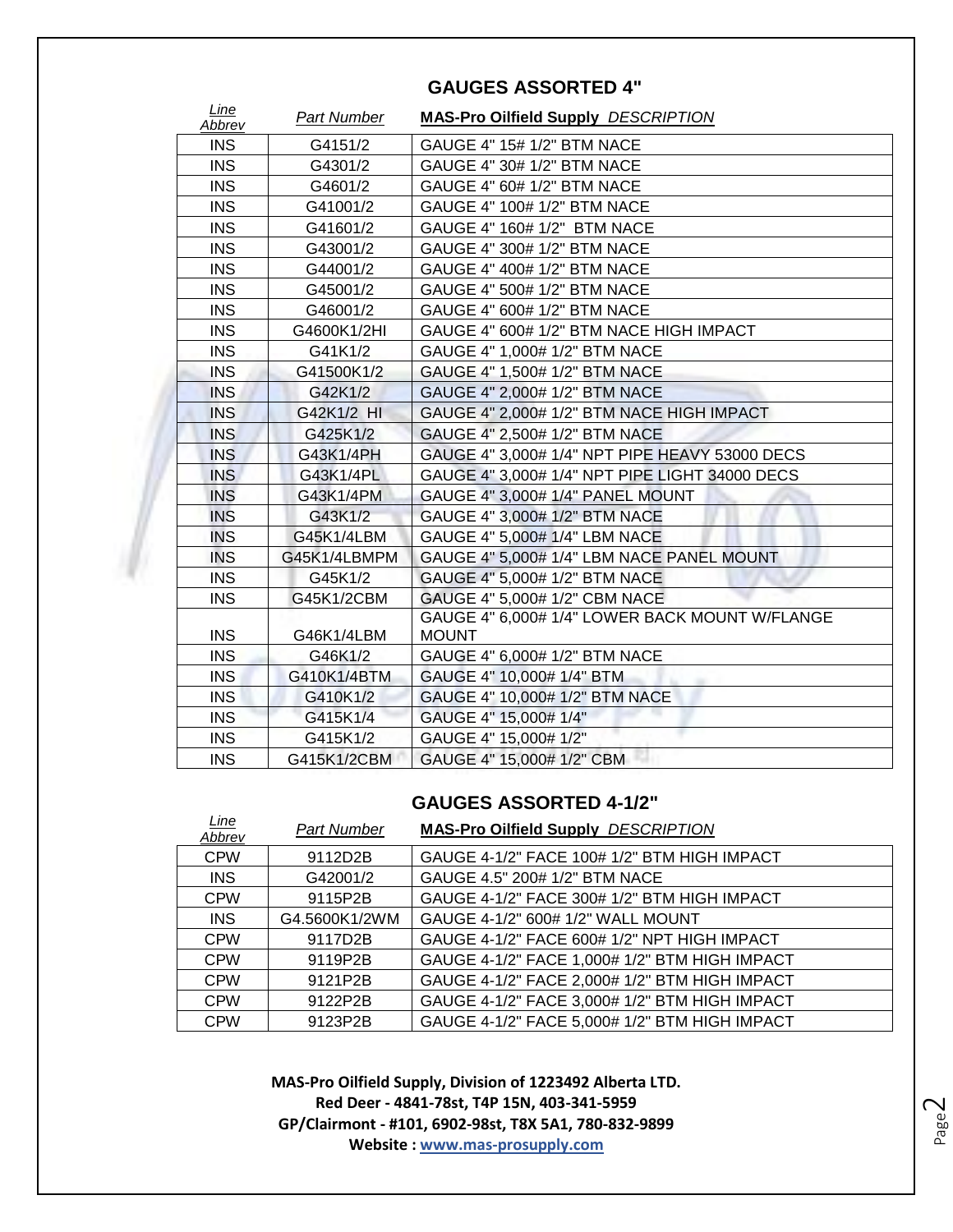| Line<br>Abbrev | Part Number  | <b>MAS-Pro Oilfield Supply DESCRIPTION</b>     |
|----------------|--------------|------------------------------------------------|
| <b>INS</b>     | G4151/2      | GAUGE 4" 15# 1/2" BTM NACE                     |
| <b>INS</b>     | G4301/2      | GAUGE 4" 30# 1/2" BTM NACE                     |
| <b>INS</b>     | G4601/2      | GAUGE 4" 60# 1/2" BTM NACE                     |
| <b>INS</b>     | G41001/2     | GAUGE 4" 100# 1/2" BTM NACE                    |
| <b>INS</b>     | G41601/2     | GAUGE 4" 160# 1/2" BTM NACE                    |
| <b>INS</b>     | G43001/2     | GAUGE 4" 300# 1/2" BTM NACE                    |
| <b>INS</b>     | G44001/2     | GAUGE 4" 400# 1/2" BTM NACE                    |
| <b>INS</b>     | G45001/2     | GAUGE 4" 500# 1/2" BTM NACE                    |
| <b>INS</b>     | G46001/2     | GAUGE 4" 600# 1/2" BTM NACE                    |
| <b>INS</b>     | G4600K1/2HI  | GAUGE 4" 600# 1/2" BTM NACE HIGH IMPACT        |
| <b>INS</b>     | G41K1/2      | GAUGE 4" 1,000# 1/2" BTM NACE                  |
| <b>INS</b>     | G41500K1/2   | GAUGE 4" 1,500# 1/2" BTM NACE                  |
| <b>INS</b>     | G42K1/2      | GAUGE 4" 2,000# 1/2" BTM NACE                  |
| <b>INS</b>     | G42K1/2 HI   | GAUGE 4" 2,000# 1/2" BTM NACE HIGH IMPACT      |
| <b>INS</b>     | G425K1/2     | GAUGE 4" 2,500# 1/2" BTM NACE                  |
| <b>INS</b>     | G43K1/4PH    | GAUGE 4" 3,000# 1/4" NPT PIPE HEAVY 53000 DECS |
| <b>INS</b>     | G43K1/4PL    | GAUGE 4" 3,000# 1/4" NPT PIPE LIGHT 34000 DECS |
| <b>INS</b>     | G43K1/4PM    | GAUGE 4" 3,000# 1/4" PANEL MOUNT               |
| <b>INS</b>     | G43K1/2      | GAUGE 4" 3,000# 1/2" BTM NACE                  |
| <b>INS</b>     | G45K1/4LBM   | GAUGE 4" 5,000# 1/4" LBM NACE                  |
| <b>INS</b>     | G45K1/4LBMPM | GAUGE 4" 5,000# 1/4" LBM NACE PANEL MOUNT      |
| <b>INS</b>     | G45K1/2      | GAUGE 4" 5,000# 1/2" BTM NACE                  |
| <b>INS</b>     | G45K1/2CBM   | GAUGE 4" 5,000# 1/2" CBM NACE                  |
|                |              | GAUGE 4" 6,000# 1/4" LOWER BACK MOUNT W/FLANGE |
| <b>INS</b>     | G46K1/4LBM   | <b>MOUNT</b>                                   |
| <b>INS</b>     | G46K1/2      | GAUGE 4" 6,000# 1/2" BTM NACE                  |
| <b>INS</b>     | G410K1/4BTM  | GAUGE 4" 10,000# 1/4" BTM                      |
| <b>INS</b>     | G410K1/2     | GAUGE 4" 10,000# 1/2" BTM NACE                 |
| <b>INS</b>     | G415K1/4     | GAUGE 4" 15,000# 1/4"                          |
| <b>INS</b>     | G415K1/2     | GAUGE 4" 15,000# 1/2"                          |
| <b>INS</b>     | G415K1/2CBM  | GAUGE 4" 15,000# 1/2" CBM                      |

## **GAUGES ASSORTED 4"**

## **GAUGES ASSORTED 4-1/2"**

| Line<br>Abbrev | <b>Part Number</b> | <b>MAS-Pro Oilfield Supply DESCRIPTION</b>    |
|----------------|--------------------|-----------------------------------------------|
| <b>CPW</b>     | 9112D2B            | GAUGE 4-1/2" FACE 100# 1/2" BTM HIGH IMPACT   |
| <b>INS</b>     | G42001/2           | GAUGE 4.5" 200# 1/2" BTM NACE                 |
| <b>CPW</b>     | 9115P2B            | GAUGE 4-1/2" FACE 300# 1/2" BTM HIGH IMPACT   |
| <b>INS</b>     | G4.5600K1/2WM      | GAUGE 4-1/2" 600# 1/2" WALL MOUNT             |
| <b>CPW</b>     | 9117D2B            | GAUGE 4-1/2" FACE 600# 1/2" NPT HIGH IMPACT   |
| <b>CPW</b>     | 9119P2B            | GAUGE 4-1/2" FACE 1,000# 1/2" BTM HIGH IMPACT |
| <b>CPW</b>     | 9121P2B            | GAUGE 4-1/2" FACE 2,000# 1/2" BTM HIGH IMPACT |
| <b>CPW</b>     | 9122P2B            | GAUGE 4-1/2" FACE 3,000# 1/2" BTM HIGH IMPACT |
| <b>CPW</b>     | 9123P2B            | GAUGE 4-1/2" FACE 5,000# 1/2" BTM HIGH IMPACT |

**MAS-Pro Oilfield Supply, Division of 1223492 Alberta LTD. Red Deer - 4841-78st, T4P 15N, 403-341-5959 GP/Clairmont - #101, 6902-98st, T8X 5A1, 780-832-9899 Website : www.mas-prosupply.com**

Page  $\mathrel{\sim}$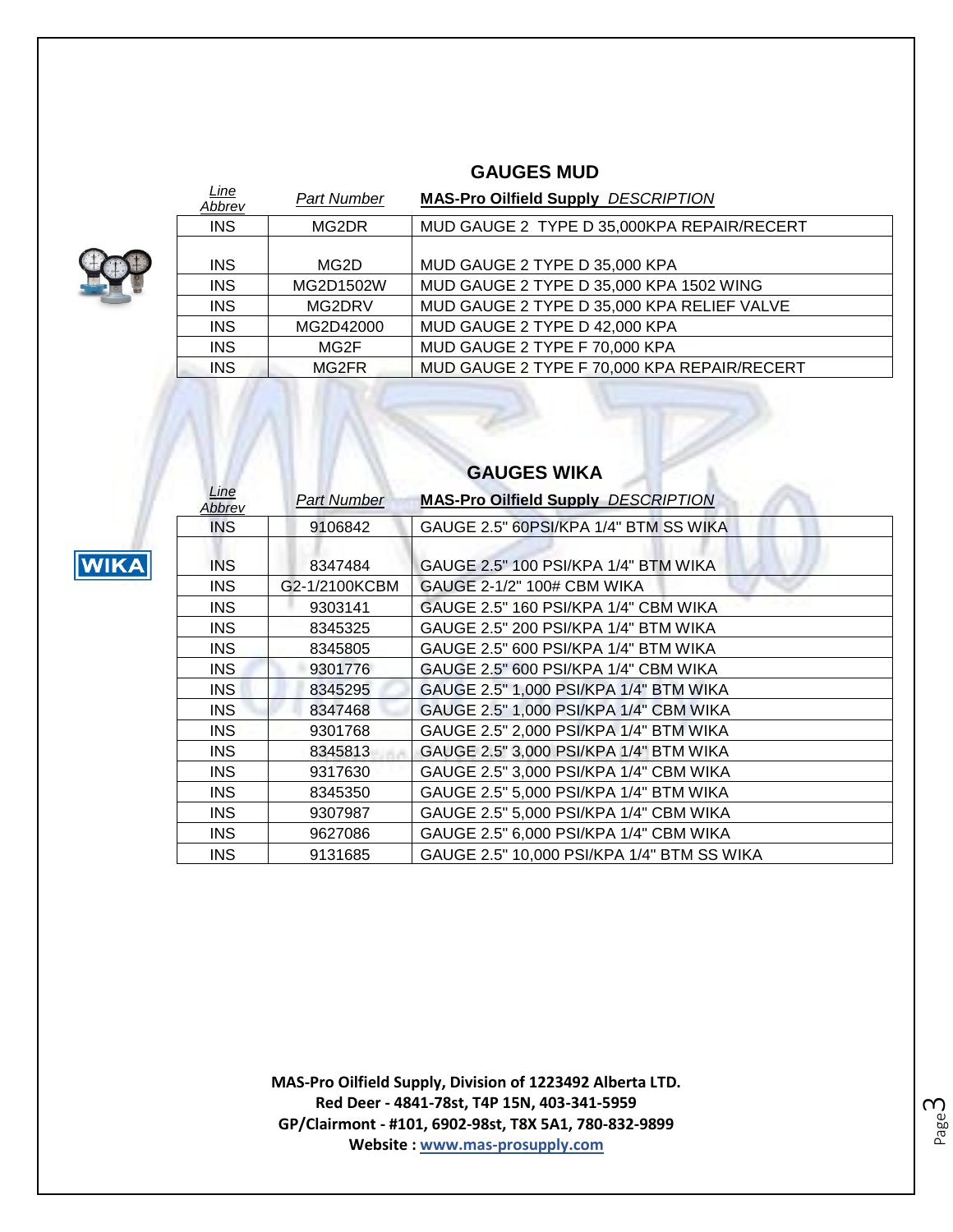## **GAUGES MUD**



**WIKA** 

*Line* 

| <u>Line</u><br>Abbrev | <b>Part Number</b> | <b>MAS-Pro Oilfield Supply DESCRIPTION</b>  |
|-----------------------|--------------------|---------------------------------------------|
| <b>INS</b>            | MG2DR              | MUD GAUGE 2 TYPE D 35,000KPA REPAIR/RECERT  |
| <b>INS</b>            | MG2D               | MUD GAUGE 2 TYPE D 35,000 KPA               |
| <b>INS</b>            | MG2D1502W          | MUD GAUGE 2 TYPE D 35,000 KPA 1502 WING     |
| <b>INS</b>            | MG2DRV             | MUD GAUGE 2 TYPE D 35,000 KPA RELIEF VALVE  |
| <b>INS</b>            | MG2D42000          | MUD GAUGE 2 TYPE D 42,000 KPA               |
| <b>INS</b>            | MG2F               | MUD GAUGE 2 TYPE F 70,000 KPA               |
| <b>INS</b>            | MG2FR              | MUD GAUGE 2 TYPE F 70,000 KPA REPAIR/RECERT |
|                       |                    |                                             |

| Line<br>Abbrev | <b>Part Number</b> | <b>MAS-Pro Oilfield Supply DESCRIPTION</b> |
|----------------|--------------------|--------------------------------------------|
| <b>INS</b>     | 9106842            | GAUGE 2.5" 60PSI/KPA 1/4" BTM SS WIKA      |
| <b>INS</b>     | 8347484            | GAUGE 2.5" 100 PSI/KPA 1/4" BTM WIKA       |
| <b>INS</b>     | G2-1/2100KCBM      | GAUGE 2-1/2" 100# CBM WIKA                 |
| <b>INS</b>     | 9303141            | GAUGE 2.5" 160 PSI/KPA 1/4" CBM WIKA       |
| <b>INS</b>     | 8345325            | GAUGE 2.5" 200 PSI/KPA 1/4" BTM WIKA       |
| <b>INS</b>     | 8345805            | GAUGE 2.5" 600 PSI/KPA 1/4" BTM WIKA       |
| <b>INS</b>     | 9301776            | GAUGE 2.5" 600 PSI/KPA 1/4" CBM WIKA       |
| INS.           | 8345295            | GAUGE 2.5" 1,000 PSI/KPA 1/4" BTM WIKA     |
| <b>INS</b>     | 8347468            | GAUGE 2.5" 1,000 PSI/KPA 1/4" CBM WIKA     |
| INS.           | 9301768            | GAUGE 2.5" 2,000 PSI/KPA 1/4" BTM WIKA     |
| INS            | 8345813            | GAUGE 2.5" 3,000 PSI/KPA 1/4" BTM WIKA     |
| INS            | 9317630            | GAUGE 2.5" 3,000 PSI/KPA 1/4" CBM WIKA     |
| INS            | 8345350            | GAUGE 2.5" 5,000 PSI/KPA 1/4" BTM WIKA     |
| INS            | 9307987            | GAUGE 2.5" 5,000 PSI/KPA 1/4" CBM WIKA     |
| INS.           | 9627086            | GAUGE 2.5" 6,000 PSI/KPA 1/4" CBM WIKA     |
| <b>INS</b>     | 9131685            | GAUGE 2.5" 10,000 PSI/KPA 1/4" BTM SS WIKA |

## **GAUGES WIKA**

**MAS-Pro Oilfield Supply, Division of 1223492 Alberta LTD. Red Deer - 4841-78st, T4P 15N, 403-341-5959 GP/Clairmont - #101, 6902-98st, T8X 5A1, 780-832-9899 Website : www.mas-prosupply.com**